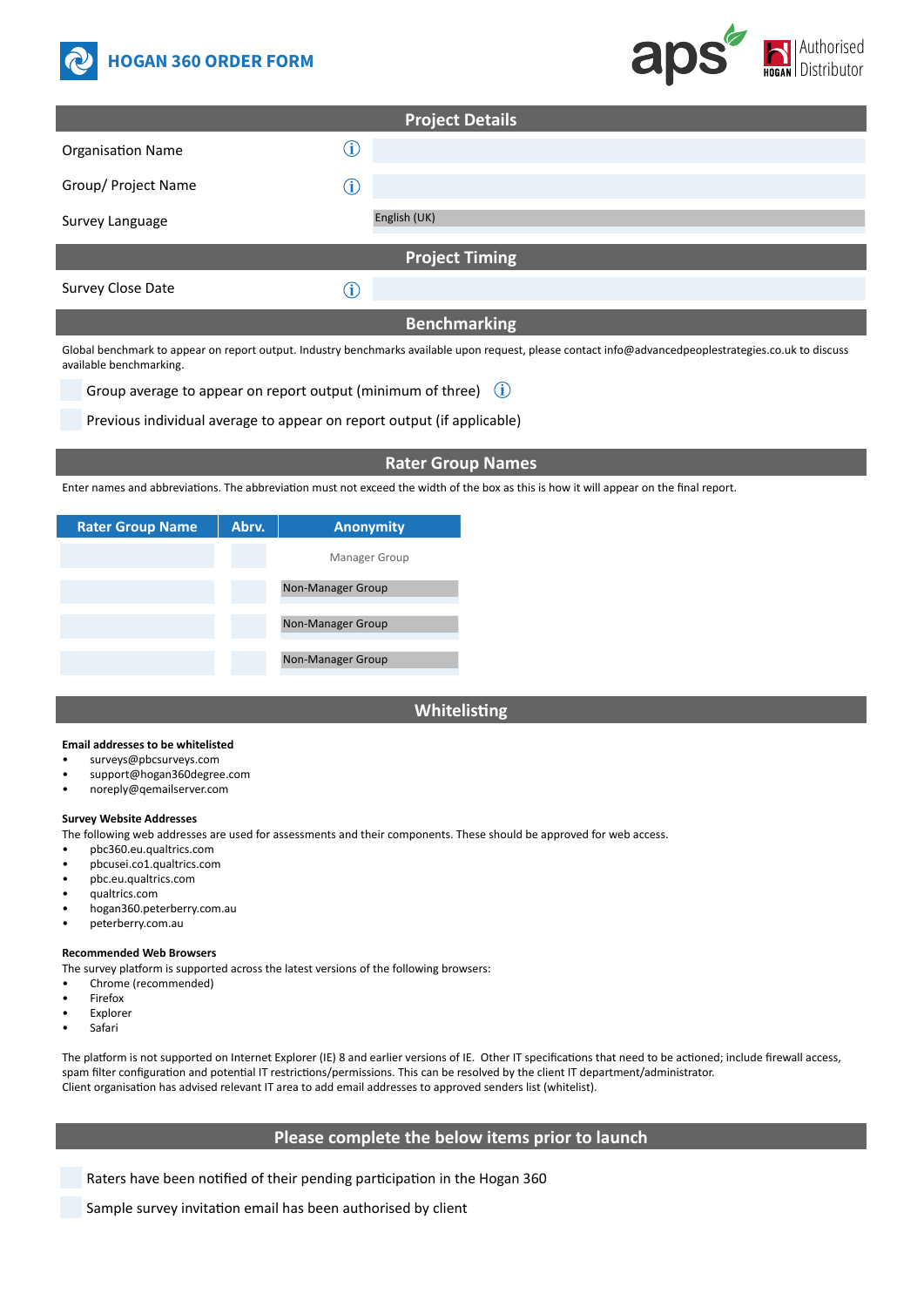



| <b>Project Details</b>   |              |  |  |  |  |  |  |
|--------------------------|--------------|--|--|--|--|--|--|
| <b>Organisation Name</b> | Ĵ            |  |  |  |  |  |  |
| Group/ Project Name      | î            |  |  |  |  |  |  |
| Survey Language          | English (UK) |  |  |  |  |  |  |
| <b>Project Timing</b>    |              |  |  |  |  |  |  |
| Survey Close Date        | Î            |  |  |  |  |  |  |

# **Benchmarking**

Global benchmark to appear on report output. Industry benchmarks available upon request, please contact info@advancedpeoplestrategies.co.uk to discuss available benchmarking.

Group average to appear on report output (minimum of three)  $(i)$ 

Previous individual average to appear on report output (if applicable)

## **Rater Group Names**

Enter names and abbreviations. The abbreviation must not exceed the width of the box as this is how it will appear on the final report.

| <b>Rater Group Name</b> | Abry. | <b>Anonymity</b>  |  |  |
|-------------------------|-------|-------------------|--|--|
|                         |       | Manager Group     |  |  |
|                         |       | Non-Manager Group |  |  |
|                         |       |                   |  |  |
|                         |       | Non-Manager Group |  |  |
|                         |       |                   |  |  |
|                         |       | Non-Manager Group |  |  |
|                         |       |                   |  |  |

# **Whitelisting**

#### **Email addresses to be whitelisted**

- surveys@pbcsurveys.com
- support@hogan360degree.com
- noreply@qemailserver.com

#### **Survey Website Addresses**

The following web addresses are used for assessments and their components. These should be approved for web access.

Manager Group

- pbc360.eu.qualtrics.com
- pbcusei.co1.qualtrics.com
- pbc.eu.qualtrics.com
- qualtrics.com
- hogan360.peterberry.com.au
- peterberry.com.au

#### **Recommended Web Browsers**

The survey platform is supported across the latest versions of the following browsers:

- Chrome (recommended)
- **Firefox**
- Explorer
- Safari

The platform is not supported on Internet Explorer (IE) 8 and earlier versions of IE. Other IT specifications that need to be actioned; include firewall access, spam filter configuration and potential IT restrictions/permissions. This can be resolved by the client IT department/administrator. Client organisation has advised relevant IT area to add email addresses to approved senders list (whitelist).

## **Please complete the below items prior to launch**

Raters have been notified of their pending participation in the Hogan 360

Sample survey invitation email has been authorised by client